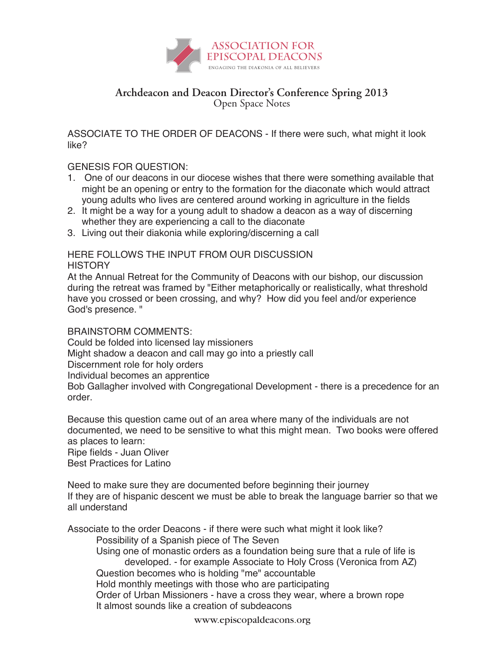

## **Archdeacon and Deacon Director's Conference Spring 2013** Open Space Notes

ASSOCIATE TO THE ORDER OF DEACONS - If there were such, what might it look like?

## GENESIS FOR QUESTION:

- 1. One of our deacons in our diocese wishes that there were something available that might be an opening or entry to the formation for the diaconate which would attract young adults who lives are centered around working in agriculture in the fields
- 2. It might be a way for a young adult to shadow a deacon as a way of discerning whether they are experiencing a call to the diaconate
- 3. Living out their diakonia while exploring/discerning a call

## HERE FOLLOWS THE INPUT FROM OUR DISCUSSION **HISTORY**

At the Annual Retreat for the Community of Deacons with our bishop, our discussion during the retreat was framed by "Either metaphorically or realistically, what threshold have you crossed or been crossing, and why? How did you feel and/or experience God's presence. "

## BRAINSTORM COMMENTS:

Could be folded into licensed lay missioners

Might shadow a deacon and call may go into a priestly call

Discernment role for holy orders

Individual becomes an apprentice

Bob Gallagher involved with Congregational Development - there is a precedence for an order.

Because this question came out of an area where many of the individuals are not documented, we need to be sensitive to what this might mean. Two books were offered as places to learn:

Ripe fields - Juan Oliver Best Practices for Latino

Need to make sure they are documented before beginning their journey If they are of hispanic descent we must be able to break the language barrier so that we all understand

Associate to the order Deacons - if there were such what might it look like?

Possibility of a Spanish piece of The Seven

Using one of monastic orders as a foundation being sure that a rule of life is developed. - for example Associate to Holy Cross (Veronica from AZ) Question becomes who is holding "me" accountable Hold monthly meetings with those who are participating Order of Urban Missioners - have a cross they wear, where a brown rope

It almost sounds like a creation of subdeacons

www.episcopaldeacons.org